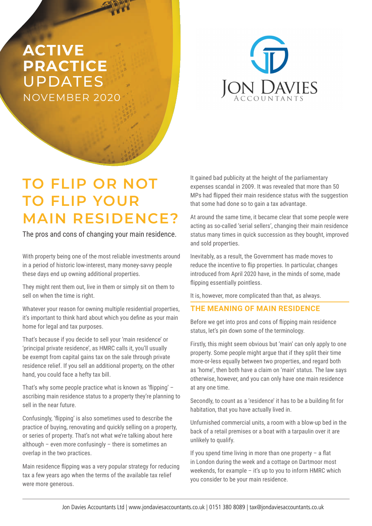## **ACTIVE PRACTICE**  UPDATES NOVEMBER 2020



# **TO FLIP OR NOT TO FLIP YOUR MAIN RESIDENCE?**

The pros and cons of changing your main residence.

With property being one of the most reliable investments around in a period of historic low-interest, many money-savvy people these days end up owning additional properties.

They might rent them out, live in them or simply sit on them to sell on when the time is right.

Whatever your reason for owning multiple residential properties, it's important to think hard about which you define as your main home for legal and tax purposes.

That's because if you decide to sell your 'main residence' or 'principal private residence', as HMRC calls it, you'll usually be exempt from capital gains tax on the sale through private residence relief. If you sell an additional property, on the other hand, you could face a hefty tax bill.

That's why some people practice what is known as 'flipping' – ascribing main residence status to a property they're planning to sell in the near future.

Confusingly, 'flipping' is also sometimes used to describe the practice of buying, renovating and quickly selling on a property, or series of property. That's not what we're talking about here although – even more confusingly – there is sometimes an overlap in the two practices.

Main residence flipping was a very popular strategy for reducing tax a few years ago when the terms of the available tax relief were more generous.

It gained bad publicity at the height of the parliamentary expenses scandal in 2009. It was revealed that more than 50 MPs had flipped their main residence status with the suggestion that some had done so to gain a tax advantage.

At around the same time, it became clear that some people were acting as so-called 'serial sellers', changing their main residence status many times in quick succession as they bought, improved and sold properties.

Inevitably, as a result, the Government has made moves to reduce the incentive to flip properties. In particular, changes introduced from April 2020 have, in the minds of some, made flipping essentially pointless.

It is, however, more complicated than that, as always.

### **THE MEANING OF MAIN RESIDENCE**

Before we get into pros and cons of flipping main residence status, let's pin down some of the terminology.

Firstly, this might seem obvious but 'main' can only apply to one property. Some people might argue that if they split their time more-or-less equally between two properties, and regard both as 'home', then both have a claim on 'main' status. The law says otherwise, however, and you can only have one main residence at any one time.

Secondly, to count as a 'residence' it has to be a building fit for habitation, that you have actually lived in.

Unfurnished commercial units, a room with a blow-up bed in the back of a retail premises or a boat with a tarpaulin over it are unlikely to qualify.

If you spend time living in more than one property  $-$  a flat in London during the week and a cottage on Dartmoor most weekends, for example – it's up to you to inform HMRC which you consider to be your main residence.